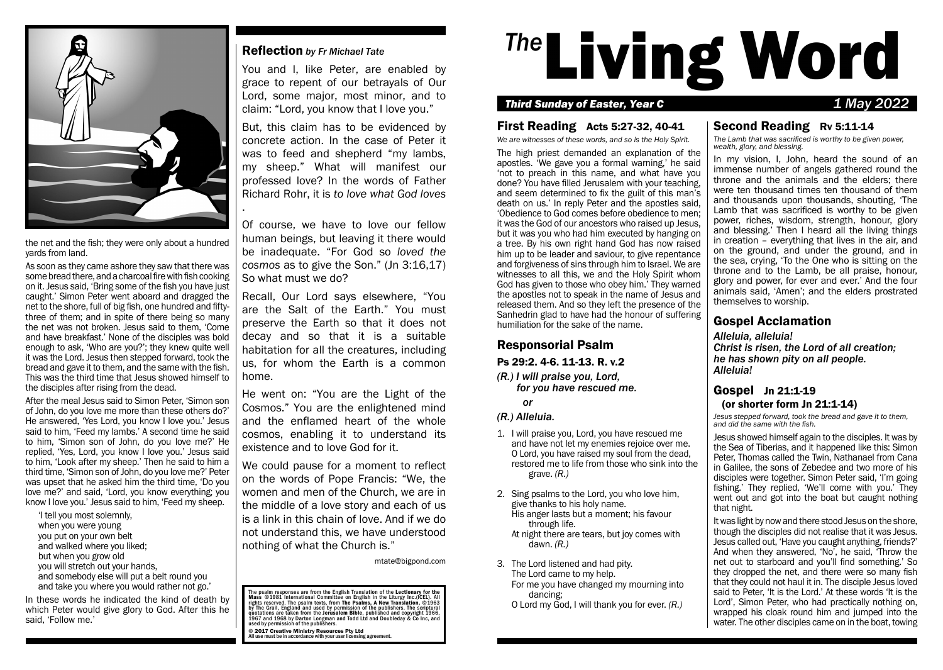

the net and the fish; they were only about a hundred yards from land.

As soon as they came ashore they saw that there was some bread there, and a charcoal fire with fish cooking on it. Jesus said, 'Bring some of the fish you have just caught.' Simon Peter went aboard and dragged the net to the shore, full of big fish, one hundred and fiftythree of them; and in spite of there being so many the net was not broken. Jesus said to them, 'Come and have breakfast.' None of the disciples was bold enough to ask, 'Who are you?'; they knew quite well it was the Lord. Jesus then stepped forward, took the bread and gave it to them, and the same with the fish. This was the third time that Jesus showed himself to the disciples after rising from the dead.

After the meal Jesus said to Simon Peter, 'Simon son of John, do you love me more than these others do?' He answered, 'Yes Lord, you know I love you.' Jesus said to him, 'Feed my lambs.' A second time he said to him, 'Simon son of John, do you love me?' He replied, 'Yes, Lord, you know I love you.' Jesus said to him, 'Look after my sheep.' Then he said to him a third time, 'Simon son of John, do you love me?' Peter was upset that he asked him the third time, 'Do you love me?' and said, 'Lord, you know everything; you know I love you.' Jesus said to him, 'Feed my sheep.

'I tell you most solemnly, when you were young you put on your own belt and walked where you liked; but when you grow old you will stretch out your hands, and somebody else will put a belt round you and take you where you would rather not go.'

In these words he indicated the kind of death by which Peter would give glory to God. After this he said, 'Follow me.'

## Reflection *by Fr Michael Tate*

.

You and I, like Peter, are enabled by grace to repent of our betrayals of Our Lord, some major, most minor, and to claim: "Lord, you know that I love you."

But, this claim has to be evidenced by concrete action. In the case of Peter it was to feed and shepherd "my lambs. my sheep." What will manifest our professed love? In the words of Father Richard Rohr, it is *to love what God loves*

Of course, we have to love our fellow human beings, but leaving it there would be inadequate. "For God so *loved the cosmos* as to give the Son." (Jn 3:16,17) So what must we do?

Recall, Our Lord says elsewhere, "You are the Salt of the Earth." You must preserve the Earth so that it does not decay and so that it is a suitable habitation for all the creatures, including us, for whom the Earth is a common home.

He went on: "You are the Light of the Cosmos." You are the enlightened mind and the enflamed heart of the whole cosmos, enabling it to understand its existence and to love God for it.

We could pause for a moment to reflect on the words of Pope Francis: "We, the women and men of the Church, we are in the middle of a love story and each of us is a link in this chain of love. And if we do not understand this, we have understood nothing of what the Church is."

mtate@bigpond.com

The psalm responses are from the English Translation of the Lectionary for the<br>Mass ©1981 International Committee on English in the Liturgy Inc.(ICEL). All rights reserved. The psalm texts, from The Psalms, A New Translation, ©1963<br>by The Grail, England and used by permission of the publishers. The scriptural<br>quotations are taken from the Jerusalem Bible, published and copyri

© 2017 Creative Ministry Resources Pty Ltd All use must be in accordance with your user licensing agreement.

# <sup>The</sup> Living Word

#### *Third Sunday of Easter, Year C 1 May 2022*

#### First Reading Acts 5:27-32, 40-41

*We are witnesses of these words, and so is the Holy Spirit.*

The high priest demanded an explanation of the apostles. 'We gave you a formal warning,' he said 'not to preach in this name, and what have you done? You have filled Jerusalem with your teaching, and seem determined to fix the guilt of this man's death on us.' In reply Peter and the apostles said, 'Obedience to God comes before obedience to men; it was the God of our ancestors who raised up Jesus, but it was you who had him executed by hanging on a tree. By his own right hand God has now raised him up to be leader and saviour, to give repentance and forgiveness of sins through him to Israel. We are witnesses to all this, we and the Holy Spirit whom God has given to those who obey him.' They warned the apostles not to speak in the name of Jesus and released them. And so they left the presence of the Sanhedrin glad to have had the honour of suffering humiliation for the sake of the name.

# Responsorial Psalm

#### Ps 29:2. 4-6. 11-13. R. v.2

*(R.) I will praise you, Lord, for you have rescued me.*

*or*

#### *(R.) Alleluia.*

- 1. I will praise you, Lord, you have rescued me and have not let my enemies rejoice over me. O Lord, you have raised my soul from the dead, restored me to life from those who sink into the grave. *(R.)*
- 2. Sing psalms to the Lord, you who love him, give thanks to his holy name. His anger lasts but a moment; his favour
	- through life. At night there are tears, but joy comes with dawn. *(R.)*
- 3. The Lord listened and had pity. The Lord came to my help. For me you have changed my mourning into dancing;

O Lord my God, I will thank you for ever. *(R.)*

# Second Reading Rv 5:11-14

*The Lamb that was sacrificed is worthy to be given power, wealth, glory, and blessing.*

In my vision, I, John, heard the sound of an immense number of angels gathered round the throne and the animals and the elders; there were ten thousand times ten thousand of them and thousands upon thousands, shouting, 'The Lamb that was sacrificed is worthy to be given power, riches, wisdom, strength, honour, glory and blessing.' Then I heard all the living things in creation – everything that lives in the air, and on the ground, and under the ground, and in the sea, crying, 'To the One who is sitting on the throne and to the Lamb, be all praise, honour, glory and power, for ever and ever.' And the four animals said, 'Amen'; and the elders prostrated themselves to worship.

## Gospel Acclamation

*Alleluia, alleluia! Christ is risen, the Lord of all creation; he has shown pity on all people. Alleluia!*

## Gospel Jn 21:1-19 (or shorter form Jn 21:1-14)

*Jesus stepped forward, took the bread and gave it to them, and did the same with the fish.*

Jesus showed himself again to the disciples. It was by the Sea of Tiberias, and it happened like this: Simon Peter, Thomas called the Twin, Nathanael from Cana in Galilee, the sons of Zebedee and two more of his disciples were together. Simon Peter said, 'I'm going fishing.' They replied, 'We'll come with you.' They went out and got into the boat but caught nothing that night.

It was light by now and there stood Jesus on the shore, though the disciples did not realise that it was Jesus. Jesus called out, 'Have you caught anything, friends?' And when they answered, 'No', he said, 'Throw the net out to starboard and you'll find something.' So they dropped the net, and there were so many fish that they could not haul it in. The disciple Jesus loved said to Peter, 'It is the Lord.' At these words 'It is the Lord', Simon Peter, who had practically nothing on, wrapped his cloak round him and jumped into the water. The other disciples came on in the boat, towing